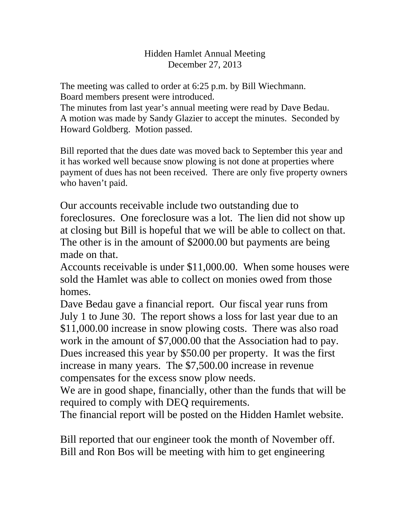## Hidden Hamlet Annual Meeting December 27, 2013

The meeting was called to order at 6:25 p.m. by Bill Wiechmann. Board members present were introduced.

The minutes from last year's annual meeting were read by Dave Bedau. A motion was made by Sandy Glazier to accept the minutes. Seconded by Howard Goldberg. Motion passed.

Bill reported that the dues date was moved back to September this year and it has worked well because snow plowing is not done at properties where payment of dues has not been received. There are only five property owners who haven't paid.

Our accounts receivable include two outstanding due to foreclosures. One foreclosure was a lot. The lien did not show up at closing but Bill is hopeful that we will be able to collect on that. The other is in the amount of \$2000.00 but payments are being made on that.

Accounts receivable is under \$11,000.00. When some houses were sold the Hamlet was able to collect on monies owed from those homes.

Dave Bedau gave a financial report. Our fiscal year runs from July 1 to June 30. The report shows a loss for last year due to an \$11,000.00 increase in snow plowing costs. There was also road work in the amount of \$7,000.00 that the Association had to pay. Dues increased this year by \$50.00 per property. It was the first increase in many years. The \$7,500.00 increase in revenue compensates for the excess snow plow needs.

We are in good shape, financially, other than the funds that will be required to comply with DEQ requirements.

The financial report will be posted on the Hidden Hamlet website.

Bill reported that our engineer took the month of November off. Bill and Ron Bos will be meeting with him to get engineering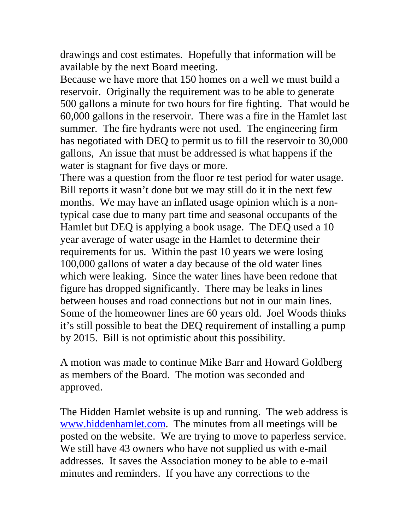drawings and cost estimates. Hopefully that information will be available by the next Board meeting.

Because we have more that 150 homes on a well we must build a reservoir. Originally the requirement was to be able to generate 500 gallons a minute for two hours for fire fighting. That would be 60,000 gallons in the reservoir. There was a fire in the Hamlet last summer. The fire hydrants were not used. The engineering firm has negotiated with DEQ to permit us to fill the reservoir to 30,000 gallons, An issue that must be addressed is what happens if the water is stagnant for five days or more.

There was a question from the floor re test period for water usage. Bill reports it wasn't done but we may still do it in the next few months. We may have an inflated usage opinion which is a nontypical case due to many part time and seasonal occupants of the Hamlet but DEQ is applying a book usage. The DEQ used a 10 year average of water usage in the Hamlet to determine their requirements for us. Within the past 10 years we were losing 100,000 gallons of water a day because of the old water lines which were leaking. Since the water lines have been redone that figure has dropped significantly. There may be leaks in lines between houses and road connections but not in our main lines. Some of the homeowner lines are 60 years old. Joel Woods thinks it's still possible to beat the DEQ requirement of installing a pump by 2015. Bill is not optimistic about this possibility.

A motion was made to continue Mike Barr and Howard Goldberg as members of the Board. The motion was seconded and approved.

The Hidden Hamlet website is up and running. The web address is www.hiddenhamlet.com. The minutes from all meetings will be posted on the website. We are trying to move to paperless service. We still have 43 owners who have not supplied us with e-mail addresses. It saves the Association money to be able to e-mail minutes and reminders. If you have any corrections to the